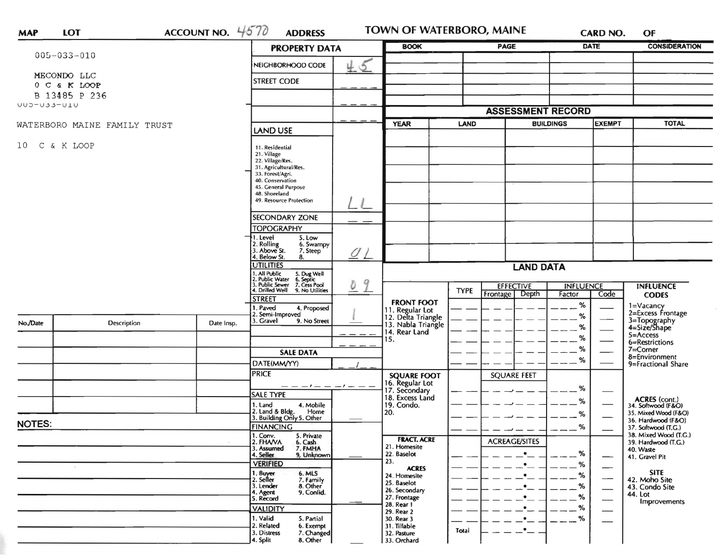| <b>MAP</b>       | LOT                          | ACCOUNT NO. $4570$   | <b>ADDRESS</b>                                                                                                                                                                         |                                                                              | TOWN OF WATERBORO, MAINE                                                | CARD NO.                                                                          | OF                                                                          |  |  |
|------------------|------------------------------|----------------------|----------------------------------------------------------------------------------------------------------------------------------------------------------------------------------------|------------------------------------------------------------------------------|-------------------------------------------------------------------------|-----------------------------------------------------------------------------------|-----------------------------------------------------------------------------|--|--|
|                  |                              |                      | <b>PROPERTY DATA</b>                                                                                                                                                                   | <b>BOOK</b>                                                                  | <b>PAGE</b>                                                             | <b>DATE</b>                                                                       | <b>CONSIDERATION</b>                                                        |  |  |
|                  | $005 - 033 - 010$            |                      | 45<br>NEIGHBORHOOD CODE                                                                                                                                                                |                                                                              |                                                                         |                                                                                   |                                                                             |  |  |
|                  | MECONDO LLC                  |                      | <b>STREET CODE</b>                                                                                                                                                                     |                                                                              |                                                                         |                                                                                   |                                                                             |  |  |
|                  | 0 C & K LOOP                 |                      |                                                                                                                                                                                        |                                                                              |                                                                         |                                                                                   |                                                                             |  |  |
| UUD-U33-UIU      | B 13485 P 236                |                      |                                                                                                                                                                                        |                                                                              |                                                                         |                                                                                   |                                                                             |  |  |
|                  |                              |                      |                                                                                                                                                                                        | <b>ASSESSMENT RECORD</b>                                                     |                                                                         |                                                                                   |                                                                             |  |  |
|                  | WATERBORO MAINE FAMILY TRUST |                      | LAND USE                                                                                                                                                                               | <b>YEAR</b>                                                                  | LAND                                                                    | <b>EXEMPT</b><br><b>BUILDINGS</b>                                                 | <b>TOTAL</b>                                                                |  |  |
| C & K LOOP<br>10 |                              |                      | 11. Residential<br>21. Village<br>22. Village/Res.<br>31. Agricultural/Res.<br>33. Forest/Agri.<br>40. Conservation<br>45. General Purpose<br>48. Shoreland<br>49. Resource Protection |                                                                              |                                                                         |                                                                                   |                                                                             |  |  |
|                  |                              |                      | SECONDARY ZONE                                                                                                                                                                         |                                                                              |                                                                         |                                                                                   |                                                                             |  |  |
|                  |                              |                      | <b>TOPOGRAPHY</b>                                                                                                                                                                      |                                                                              |                                                                         |                                                                                   |                                                                             |  |  |
|                  |                              |                      | 1. Level<br>5. Low<br>2. Rolling<br>6. Swampy<br>3. Above St.<br>7. Steep<br>$\mathcal Q$<br>4. Below St.<br>8.                                                                        |                                                                              |                                                                         |                                                                                   |                                                                             |  |  |
|                  |                              |                      | <b>UTILITIES</b>                                                                                                                                                                       | <b>LAND DATA</b>                                                             |                                                                         |                                                                                   |                                                                             |  |  |
|                  |                              |                      | 1. All Public 5. Dug Well<br>2. Public Water 6. Septic<br>3. Public Sewer 7. Cess Pool<br>9<br>$\delta$<br>4. Drilled Well 9. No Utilities                                             |                                                                              | <b>EFFECTIVE</b><br><b>INFLUENCE</b><br><b>INFLUENCE</b><br><b>TYPE</b> |                                                                                   |                                                                             |  |  |
|                  |                              |                      | <b>STREET</b>                                                                                                                                                                          | <b>FRONT FOOT</b>                                                            | Depth<br>Frontage                                                       | Code<br>Factor                                                                    | <b>CODES</b>                                                                |  |  |
|                  |                              | Date Insp.           | 1. Paved<br>4. Proposed<br>2. Semi-Improved                                                                                                                                            | 11. Regular Lot<br>12. Delta Triangle<br>13. Nabla Triangle<br>14. Rear Land |                                                                         | %<br>%                                                                            | 1=Vacancy<br>2=Excess Frontage                                              |  |  |
| No./Date         | Description                  |                      | 3. Gravel<br>9. No Street                                                                                                                                                              |                                                                              |                                                                         | %                                                                                 | 3=Topography<br>4=Size/Shape                                                |  |  |
|                  |                              |                      |                                                                                                                                                                                        | 15.                                                                          |                                                                         | %                                                                                 | 5=Access<br>6=Restrictions                                                  |  |  |
|                  |                              |                      | <b>SALE DATA</b>                                                                                                                                                                       |                                                                              |                                                                         | %                                                                                 | 7=Corner<br>8=Environment                                                   |  |  |
|                  |                              |                      | DATE(MM/YY)                                                                                                                                                                            |                                                                              |                                                                         | %                                                                                 | 9=Fractional Share                                                          |  |  |
|                  |                              |                      | <b>PRICE</b>                                                                                                                                                                           | <b>SQUARE FOOT</b><br>16. Regular Lot                                        | <b>SQUARE FEET</b>                                                      |                                                                                   |                                                                             |  |  |
|                  |                              |                      | _ _ _ _ _ _ _ _ _ _<br><b>SALE TYPE</b>                                                                                                                                                | 17. Secondary                                                                |                                                                         | %                                                                                 |                                                                             |  |  |
|                  |                              | 1. Land<br>4. Mobile | 18. Excess Land<br>19. Condo.                                                                                                                                                          |                                                                              | %                                                                       | ACRES (cont.)<br>34. Softwood (F&O)<br>35. Mixed Wood (F&O)<br>36. Hardwood (F&O) |                                                                             |  |  |
|                  |                              |                      | 2. Land & Bldg. Home<br>3. Building Only 5. Other<br>Home                                                                                                                              | 20.                                                                          |                                                                         |                                                                                   | ℅                                                                           |  |  |
| <b>NOTES:</b>    |                              |                      | <b>FINANCING</b>                                                                                                                                                                       |                                                                              |                                                                         | ℅                                                                                 | 37. Softwood (T.G.)                                                         |  |  |
|                  |                              |                      | 1. Conv.<br>2. FHAVA<br>5. Private<br>6. Cash<br>3. Assumed<br>7. FMHA<br>4. Seller<br>9. Unknown                                                                                      | <b>FRACT. ACRE</b><br>21. Homesite<br>22. Baselot                            | <b>ACREAGE/SITES</b><br>$\bullet$                                       | %                                                                                 | 38. Mixed Wood (T.G.)<br>39. Hardwood (T.G.)<br>40. Waste<br>41. Gravel Pit |  |  |
|                  | $\sim$                       |                      | <b>VERIFIED</b>                                                                                                                                                                        | 23.<br><b>ACRES</b>                                                          | $\bullet$                                                               | %<br>—                                                                            | <b>SITE</b>                                                                 |  |  |
|                  |                              |                      | 6. MLS<br>1. Buyer<br>2. Seller<br>7. Family                                                                                                                                           | 24. Homesite<br>25. Baselot                                                  |                                                                         | %                                                                                 | 42. Moho Site                                                               |  |  |
|                  |                              |                      | 8. Other<br>3. Lender<br>9. Confid.<br>4. Agent                                                                                                                                        | 26. Secondary                                                                |                                                                         | $- -$ %                                                                           | 43. Condo Site<br>44. Lot                                                   |  |  |
|                  |                              |                      | 5. Record                                                                                                                                                                              | 27. Frontage<br>28. Rear 1                                                   |                                                                         | %<br>%                                                                            | Improvements                                                                |  |  |
|                  |                              |                      | <b>VALIDITY</b><br>1. Valid<br>5. Partial                                                                                                                                              | 29. Rear 2<br>30. Rear 3                                                     |                                                                         | $- -$ %                                                                           |                                                                             |  |  |
|                  |                              |                      | 2. Related<br>6. Exempt                                                                                                                                                                | 31. Tillable                                                                 | $\cdot$<br>Total                                                        |                                                                                   |                                                                             |  |  |
|                  |                              |                      | 3. Distress<br>7. Changed<br>8. Other<br>4. Split                                                                                                                                      | 32. Pasture<br>33. Orchard                                                   |                                                                         |                                                                                   |                                                                             |  |  |